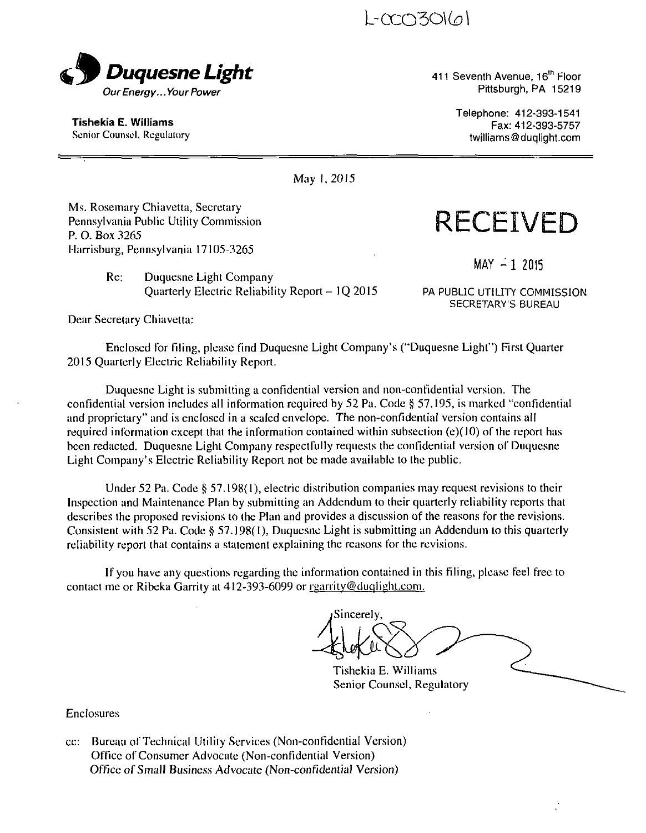L-AXD301(01



411 Seventh Avenue, 16<sup>th</sup> Floor Pittsburgh, PA 15219

**Tishekia E. Williams**  Senior Counsel, Regulaiory Telephone: 412-393-1541 Fax: 412-393-5757 twilliams@duqlight.com

May I, 20I5

Ms. Rosemary Chiavetta, Secretary Pennsylvania Public Utility Commission P. O. Box 3265 Harrisburg, Pennsylvania 17105-3265

> Re: Duquesne Light Company Quarterly Electric Reliability Report - 10 2015

PA PUBLIC UTILITY COMMISSION SECRETARY'S BUREAU

 $MAY - 1$  2015

**RECEIVED** 

Dear Secretary Chiavetta:

Enclosed for filing, please find Duquesne Light Company's ("Duquesne Light") First Quarter 2015 Quarterly Electric Reliability Report.

Duquesne Light is submitting a confidential version and non-confidential version. The confidential version includes all information required by 52 Pa. Code § 57.195, is marked "confidential and proprietary" and is enclosed in a sealed envelope. The non-confidential version contains all required information except that the information contained within subsection (e)(10) of the report has been redacted. Duquesne Lighl Company respectfully requests the confidential version of Duquesne Light Company's Electric Reliability Report not be made available to the public.

Under 52 Pa. Code § 57.198(1), electric distribution companies may request revisions to their Inspection and Maintenance Plan by submitting an Addendum to their quarterly reliability reports that describes the proposed revisions to the Plan and provides a discussion of the reasons for the revisions. Consistent wilh 52 Pa. Code \$ 57.198(1), Duquesne Light is submitting an Addendum lo this quarterly reliability report that contains a statement explaining the reasons for the revisions.

If you have any questions regarding the information contained in this filing, please feel free to contact me or Ribeka Garrity at  $412-393-6099$  or regarrity@duqlight.com.

Sincerely,

Tishekia E. Williams Senior Counsel, Regulatory

Enclosures

cc: Bureau of Technical Utility Services (Non-confidential Version) Office of Consumer Advocate (Non-confidential Version) Office of Small Business Advocate (Non-confidential Version)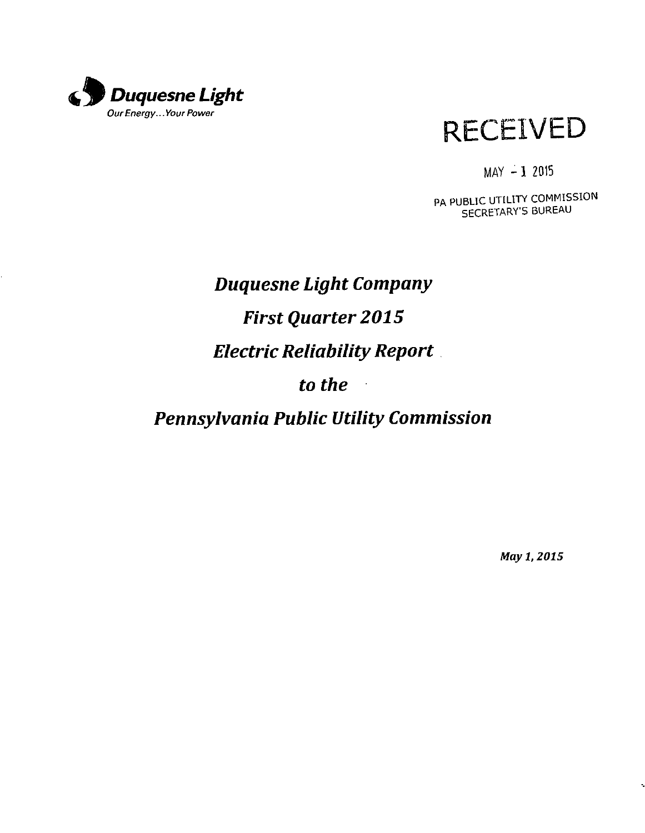



 $MAY - 1$  2015

PA PUBLIC UTILITY COMMISSION SECRETARY'S BUREAU

# **Duquesne Light Company First Quarter 2015 Electric Reliability Report to the**   $\ddot{\phantom{1}}$ **Pennsylvania Public Utility Commission**

May 1,2015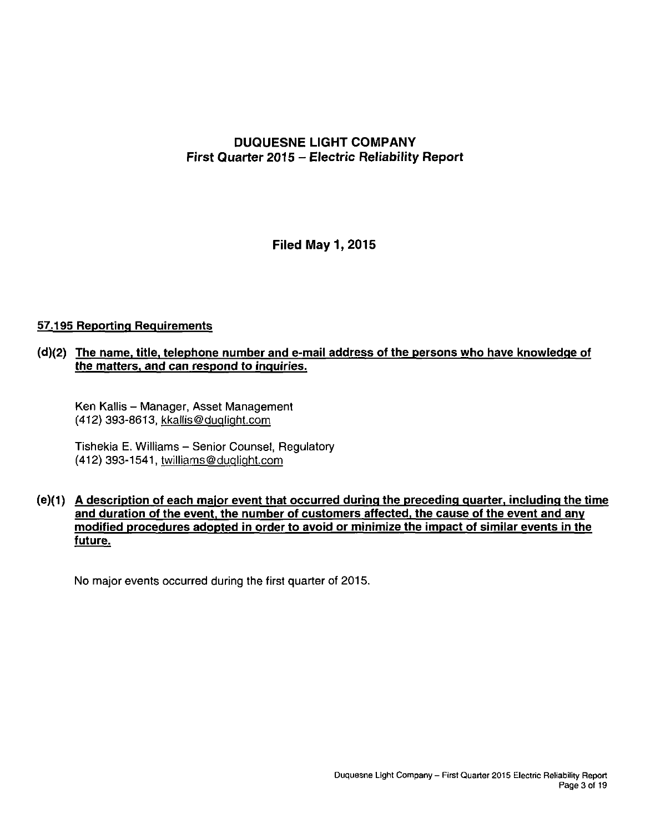# **DUQUESNE LIGHT COMPANY First Quarter 2015 - Electric Reliability Report**

**Filed May 1,2015** 

# **57.195 Reporting Requirements**

# **(d) (2) The name, title, telephone number and e-mail address of the persons who have knowledge of the matters, and can respond to inquiries.**

Ken Kallis - Manager, Asset Management (412) 393-8613, kkallis@dualiaht.com

Tishekia E. Williams - Senior Counsel, Regulatory (412) 393-1541, twilliams@duqliqht.com

# **(e) ( 1) A description of each major event that occurred during the preceding quarter, including the time and duration of the event, the number of customers affected, the cause of the event and anv modified procedures adopted in order to avoid or minimize the impact of similar events in the future.**

No major events occurred during the first quarter of 2015.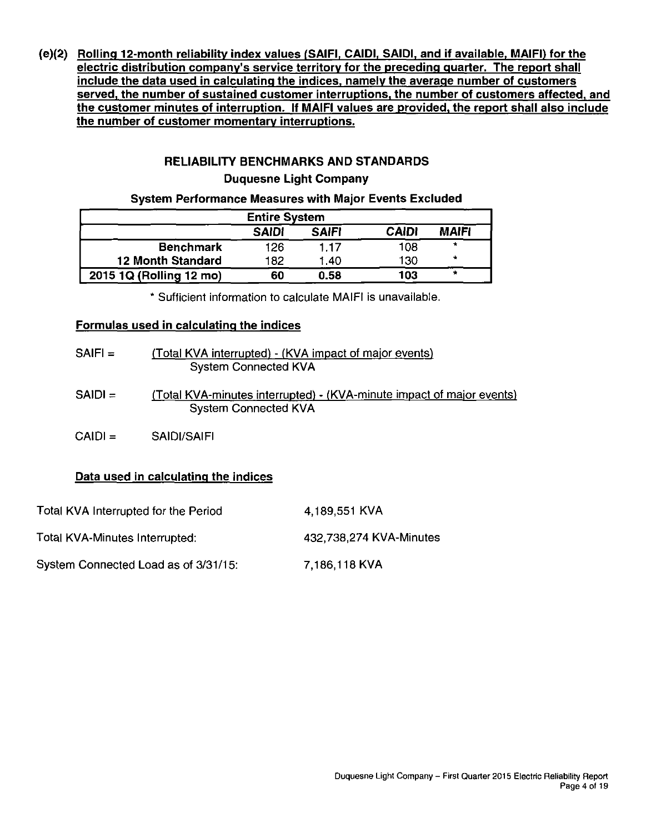**(e)(2) Rolling 12-month reliability index values fSAIFI, CAIDI, SAIDI, and if available, MAIFI) for the electric distribution company's service territory for the preceding quarter. The report shall include the data used in calculating the indices, namely the average number of customers served, the number of sustained customer interruptions, the number of customers affected, and the customer minutes of interruption. If MAIFI values are provided, the report shall also include the number of customer momentary interruptions.** 

# **RELIABILITY BENCHMARKS AND STANDARDS**

# **Duquesne Light Company**

# **System Performance Measures with Major Events Excluded**

| <b>Entire System</b>                                         |     |      |     |           |  |  |  |  |
|--------------------------------------------------------------|-----|------|-----|-----------|--|--|--|--|
| <b>MAIFI</b><br><b>CAIDI</b><br><b>SAIFI</b><br><b>SAIDI</b> |     |      |     |           |  |  |  |  |
| <b>Benchmark</b>                                             | 126 | 1.17 | 108 | *         |  |  |  |  |
| <b>12 Month Standard</b>                                     | 182 | 1.40 | 130 | $\bullet$ |  |  |  |  |
| 2015 1Q (Rolling 12 mo)                                      | 60  | 0.58 | 103 | ÷         |  |  |  |  |

Sufficient information to calculate MAIFI is unavailable.

# **Formulas used in calculating the indices**

| $SAIF =$  | (Total KVA interrupted) - (KVA impact of major events)<br><b>System Connected KVA</b>                |
|-----------|------------------------------------------------------------------------------------------------------|
| $SAIDI =$ | (Total KVA-minutes interrupted) - (KVA-minute impact of major events)<br><b>System Connected KVA</b> |
| $CAIDI =$ | SAIDI/SAIFI                                                                                          |

# **Data used in calculating the indices**

| Total KVA Interrupted for the Period | 4,189,551 KVA           |
|--------------------------------------|-------------------------|
| Total KVA-Minutes Interrupted:       | 432,738,274 KVA-Minutes |
| System Connected Load as of 3/31/15: | 7,186,118 KVA           |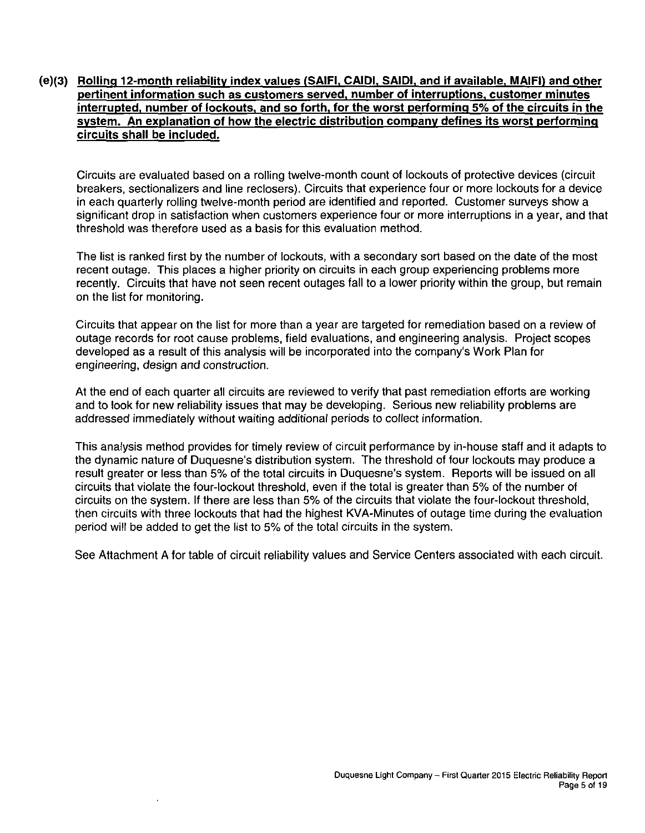# (e)(3) Rolling 12-month reliability index values (SAIFI, CAIDI, SAIDI, and if available, MAIFI) and other **pertinent information such as customers served, number of interruptions, customer minutes interrupted, number of lockouts, and so forth, for the worst performing 5% of the circuits in the system. An explanation of how the electric distribution company defines its worst performing circuits shall be included.**

Circuits are evaluated based on a rolling twelve-month count of lockouts of protective devices (circuit breakers, sectionalizers and line reclosers). Circuits that experience four or more lockouts for a device in each quarterly rolling twelve-month period are identified and reported. Customer surveys show a significant drop in satisfaction when customers experience four or more interruptions in a year, and that threshold was therefore used as a basis for this evaluation method.

The list is ranked first by the number of lockouts, with a secondary sort based on the date of the most recent outage. This places a higher priority on circuits in each group experiencing problems more recently. Circuits that have not seen recent outages fall to a lower priority within the group, but remain on the list for monitoring.

Circuits that appear on the list for more than a year are targeted for remediation based on a review of outage records for root cause problems, field evaluations, and engineering analysis. Project scopes developed as a result of this analysis will be incorporated into the company's Work Plan for engineering, design and construction.

At the end of each quarter all circuits are reviewed to verify that past remediation efforts are working and to look for new reliability issues that may be developing. Serious new reliability problems are addressed immediately without waiting additional periods to collect information.

This analysis method provides for timely review of circuit performance by in-house staff and it adapts to the dynamic nature of Duquesne's distribution system. The threshold of four lockouts may produce a result greater or less than 5% of the total circuits in Duquesne's system. Reports will be issued on all circuits that violate the four-lockout threshold, even if the total is greater than 5% of the number of circuits on the system. If there are less than 5% of the circuits that violate the four-lockout threshold, then circuits with three lockouts that had the highest KVA-Minutes of outage time during the evaluation period will be added to get the list to 5% of the total circuits in the system.

See Attachment A for table of circuit reliability values and Service Centers associated with each circuit.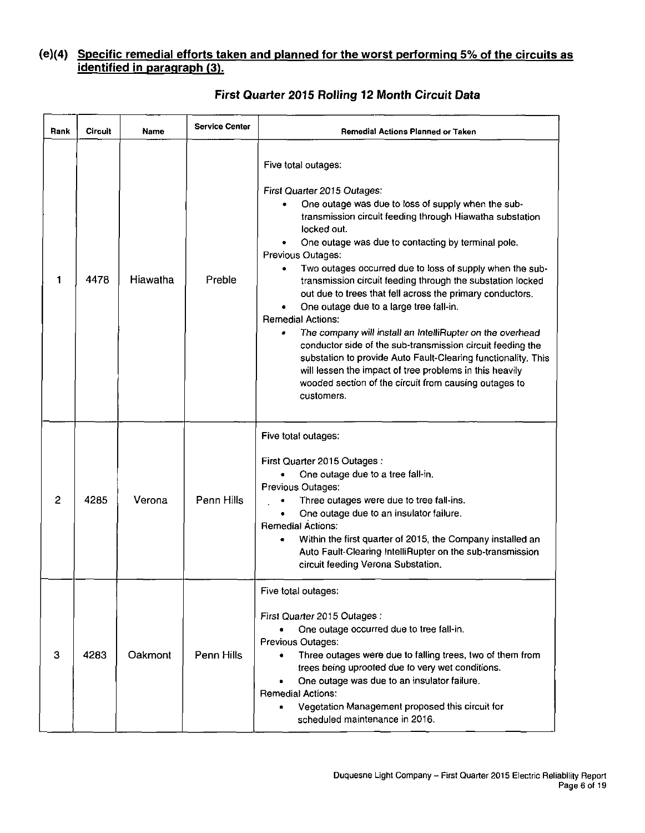# **(e)(4) Specific remedial efforts taken and planned for the worst performing 5% of the circuits a s identified in paragraph (3).**

| Rank | Circuit | Name     | <b>Service Center</b> | <b>Remedial Actions Planned or Taken</b>                                                                                                                                                                                                                                                                                                                                                                                                                                                                                                                                                                                                                                                                                                                                                                                                                   |  |  |  |
|------|---------|----------|-----------------------|------------------------------------------------------------------------------------------------------------------------------------------------------------------------------------------------------------------------------------------------------------------------------------------------------------------------------------------------------------------------------------------------------------------------------------------------------------------------------------------------------------------------------------------------------------------------------------------------------------------------------------------------------------------------------------------------------------------------------------------------------------------------------------------------------------------------------------------------------------|--|--|--|
| 1    | 4478    | Hiawatha | Preble                | Five total outages:<br>First Quarter 2015 Outages:<br>One outage was due to loss of supply when the sub-<br>transmission circuit feeding through Hiawatha substation<br>locked out.<br>One outage was due to contacting by terminal pole.<br>Previous Outages:<br>Two outages occurred due to loss of supply when the sub-<br>transmission circuit feeding through the substation locked<br>out due to trees that fell across the primary conductors.<br>One outage due to a large tree fall-in.<br><b>Remedial Actions:</b><br>The company will install an IntelliRupter on the overhead<br>conductor side of the sub-transmission circuit feeding the<br>substation to provide Auto Fault-Clearing functionality. This<br>will lessen the impact of tree problems in this heavily<br>wooded section of the circuit from causing outages to<br>customers. |  |  |  |
| 2    | 4285    | Verona   | Penn Hills            | Five total outages:<br>First Quarter 2015 Outages:<br>One outage due to a tree fall-in.<br>Previous Outages:<br>Three outages were due to tree fall-ins.<br>One outage due to an insulator failure.<br>Remedial Actions:<br>Within the first quarter of 2015, the Company installed an<br>Auto Fault-Clearing IntelliRupter on the sub-transmission<br>circuit feeding Verona Substation.                                                                                                                                                                                                                                                                                                                                                                                                                                                                  |  |  |  |
| 3    | 4283    | Oakmont  | Penn Hills            | Five total outages:<br>First Quarter 2015 Outages :<br>One outage occurred due to tree fall-in.<br>٠<br>Previous Outages:<br>Three outages were due to falling trees, two of them from<br>$\bullet$<br>trees being uprooted due to very wet conditions.<br>One outage was due to an insulator failure.<br><b>Remedial Actions:</b><br>Vegetation Management proposed this circuit for<br>٠<br>scheduled maintenance in 2016.                                                                                                                                                                                                                                                                                                                                                                                                                               |  |  |  |

# **First Quarter 2015 Rolling 12 Month Circuit Data**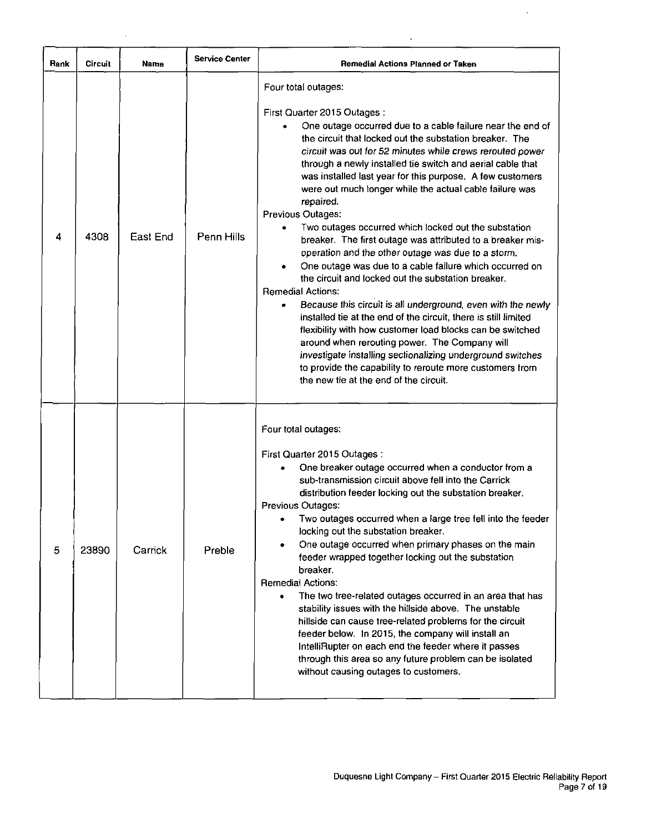| Rank | Circuit | Name     | <b>Service Center</b> | Remedial Actions Planned or Taken                                                                                                                                                                                                                                                                                                                                                                                                                                                                                                                                                                                                                                                                                                                                                                                                                                                                                                                                                                                                                                                                                                                                                                              |
|------|---------|----------|-----------------------|----------------------------------------------------------------------------------------------------------------------------------------------------------------------------------------------------------------------------------------------------------------------------------------------------------------------------------------------------------------------------------------------------------------------------------------------------------------------------------------------------------------------------------------------------------------------------------------------------------------------------------------------------------------------------------------------------------------------------------------------------------------------------------------------------------------------------------------------------------------------------------------------------------------------------------------------------------------------------------------------------------------------------------------------------------------------------------------------------------------------------------------------------------------------------------------------------------------|
| 4    | 4308    | East End | Penn Hills            | Four total outages:<br>First Quarter 2015 Outages:<br>One outage occurred due to a cable failure near the end of<br>the circuit that locked out the substation breaker. The<br>circuit was out for 52 minutes while crews rerouted power<br>through a newly installed tie switch and aerial cable that<br>was installed last year for this purpose. A few customers<br>were out much longer while the actual cable failure was<br>repaired.<br>Previous Outages:<br>Two outages occurred which locked out the substation<br>breaker. The first outage was attributed to a breaker mis-<br>operation and the other outage was due to a storm.<br>One outage was due to a cable failure which occurred on<br>the circuit and locked out the substation breaker.<br><b>Remedial Actions:</b><br>Because this circuit is all underground, even with the newly<br>installed tie at the end of the circuit, there is still limited<br>flexibility with how customer load blocks can be switched<br>around when rerouting power. The Company will<br>investigate installing sectionalizing underground switches<br>to provide the capability to reroute more customers from<br>the new tie at the end of the circuit. |
| 5    | 23890   | Carrick  | Preble                | Four total outages:<br>First Quarter 2015 Outages:<br>One breaker outage occurred when a conductor from a<br>sub-transmission circuit above fell into the Carrick<br>distribution feeder locking out the substation breaker.<br>Previous Outages:<br>Two outages occurred when a large tree fell into the feeder<br>locking out the substation breaker.<br>One outage occurred when primary phases on the main<br>٠<br>feeder wrapped together locking out the substation<br>breaker.<br><b>Remedial Actions:</b><br>The two tree-related outages occurred in an area that has<br>٠<br>stability issues with the hillside above. The unstable<br>hillside can cause tree-related problems for the circuit<br>feeder below. In 2015, the company will install an<br>IntelliRupter on each end the feeder where it passes<br>through this area so any future problem can be isolated<br>without causing outages to customers.                                                                                                                                                                                                                                                                                    |

 $\sim 10^7$ 

 $\bar{\mathcal{A}}$ 

 $\langle \cdot \rangle$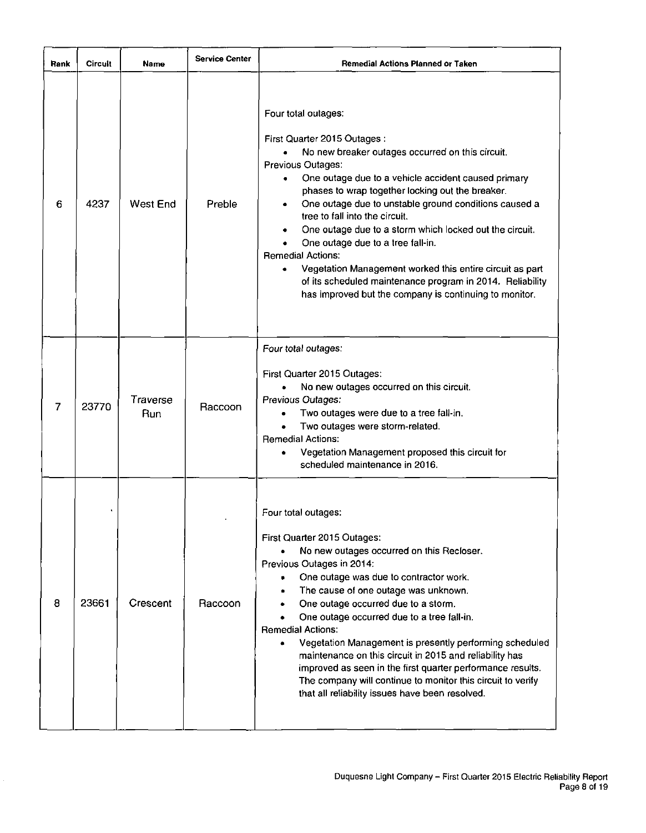| Rank | Circuit | Name            | <b>Service Center</b> | Remedial Actions Planned or Taken                                                                                                                                                                                                                                                                                                                                                                                                                                                                                                                                                                                                                                        |
|------|---------|-----------------|-----------------------|--------------------------------------------------------------------------------------------------------------------------------------------------------------------------------------------------------------------------------------------------------------------------------------------------------------------------------------------------------------------------------------------------------------------------------------------------------------------------------------------------------------------------------------------------------------------------------------------------------------------------------------------------------------------------|
| 6    | 4237    | <b>West End</b> | Preble                | Four total outages:<br>First Quarter 2015 Outages :<br>No new breaker outages occurred on this circuit.<br>$\bullet$<br>Previous Outages:<br>One outage due to a vehicle accident caused primary<br>٠<br>phases to wrap together locking out the breaker.<br>One outage due to unstable ground conditions caused a<br>۰<br>tree to fall into the circuit.<br>One outage due to a storm which locked out the circuit.<br>One outage due to a tree fall-in.<br><b>Remedial Actions:</b><br>Vegetation Management worked this entire circuit as part<br>of its scheduled maintenance program in 2014. Reliability<br>has improved but the company is continuing to monitor. |
| 7    | 23770   | Traverse<br>Run | Raccoon               | Four total outages:<br>First Quarter 2015 Outages:<br>No new outages occurred on this circuit.<br>Previous Outages:<br>Two outages were due to a tree fall-in.<br>Two outages were storm-related.<br><b>Remedial Actions:</b><br>Vegetation Management proposed this circuit for<br>scheduled maintenance in 2016.                                                                                                                                                                                                                                                                                                                                                       |
| 8    | 23661   | Crescent        | Raccoon               | Four total outages:<br>First Quarter 2015 Outages:<br>No new outages occurred on this Recloser.<br>Previous Outages in 2014:<br>One outage was due to contractor work.<br>$\bullet$<br>The cause of one outage was unknown.<br>One outage occurred due to a storm.<br>One outage occurred due to a tree fall-in.<br><b>Remedial Actions:</b><br>Vegetation Management is presently performing scheduled<br>٠<br>maintenance on this circuit in 2015 and reliability has<br>improved as seen in the first quarter performance results.<br>The company will continue to monitor this circuit to verify<br>that all reliability issues have been resolved.                  |

ł,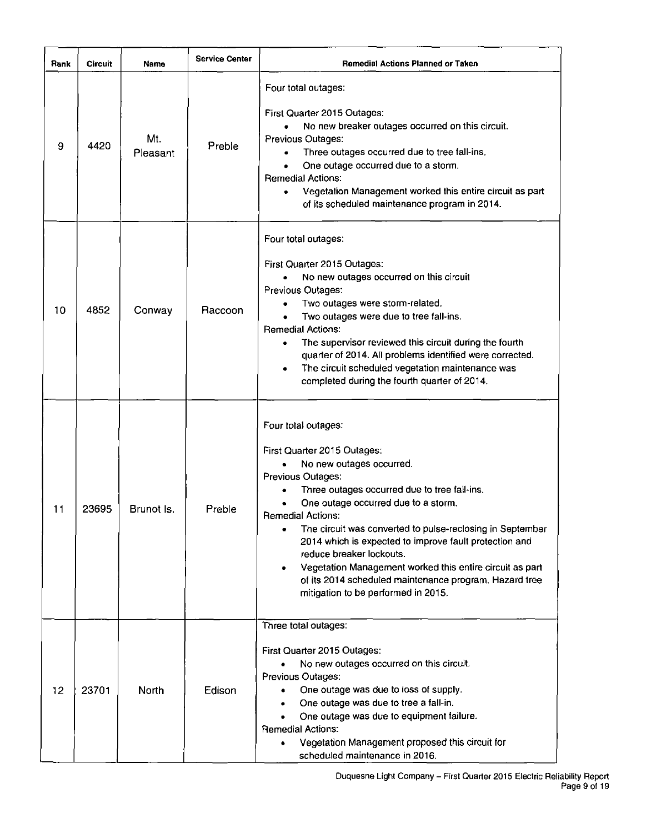| Rank | <b>Circuit</b> | Name            | <b>Service Center</b> | <b>Remedial Actions Planned or Taken</b>                                                                                                                                                                                                                                                                                                                                                                                                                                                                                                    |
|------|----------------|-----------------|-----------------------|---------------------------------------------------------------------------------------------------------------------------------------------------------------------------------------------------------------------------------------------------------------------------------------------------------------------------------------------------------------------------------------------------------------------------------------------------------------------------------------------------------------------------------------------|
| 9    | 4420           | Mt.<br>Pleasant | Preble                | Four total outages:<br>First Quarter 2015 Outages:<br>No new breaker outages occurred on this circuit.<br>$\bullet$<br>Previous Outages:<br>Three outages occurred due to tree fall-ins.<br>۰<br>One outage occurred due to a storm.<br><b>Remedial Actions:</b><br>Vegetation Management worked this entire circuit as part<br>of its scheduled maintenance program in 2014.                                                                                                                                                               |
| 10   | 4852           | Conway          | Raccoon               | Four total outages:<br>First Quarter 2015 Outages:<br>No new outages occurred on this circuit<br>Previous Outages:<br>Two outages were storm-related.<br>Two outages were due to tree fall-ins.<br><b>Remedial Actions:</b><br>The supervisor reviewed this circuit during the fourth<br>quarter of 2014. All problems identified were corrected.<br>The circuit scheduled vegetation maintenance was<br>۰<br>completed during the fourth quarter of 2014.                                                                                  |
| 11   | 23695          | Brunot Is.      | Preble                | Four total outages:<br>First Quarter 2015 Outages:<br>No new outages occurred.<br>Previous Outages:<br>Three outages occurred due to tree fall-ins.<br>One outage occurred due to a storm.<br><b>Remedial Actions:</b><br>The circuit was converted to pulse-reclosing in September<br>2014 which is expected to improve fault protection and<br>reduce breaker lockouts.<br>Vegetation Management worked this entire circuit as part<br>۰<br>of its 2014 scheduled maintenance program. Hazard tree<br>mitigation to be performed in 2015. |
| 12   | 23701          | North           | Edison                | Three total outages:<br>First Quarter 2015 Outages:<br>No new outages occurred on this circuit.<br>Previous Outages:<br>One outage was due to loss of supply.<br>One outage was due to tree a fall-in.<br>One outage was due to equipment failure.<br><b>Remedial Actions:</b><br>Vegetation Management proposed this circuit for<br>$\bullet$<br>scheduled maintenance in 2016.                                                                                                                                                            |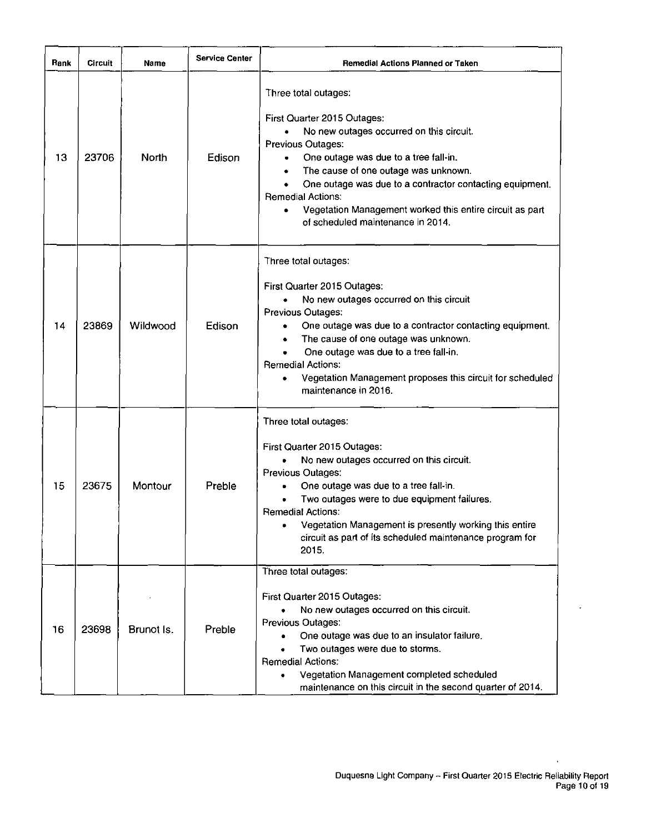| Rank | Circuit | Name       | <b>Service Center</b> | <b>Remedial Actions Planned or Taken</b>                                                                                                                                                                                                                                                                                                                                                                                                   |
|------|---------|------------|-----------------------|--------------------------------------------------------------------------------------------------------------------------------------------------------------------------------------------------------------------------------------------------------------------------------------------------------------------------------------------------------------------------------------------------------------------------------------------|
| 13   | 23706   | North      | Edison                | Three total outages:<br>First Quarter 2015 Outages:<br>No new outages occurred on this circuit.<br>Previous Outages:<br>One outage was due to a tree fall-in.<br>$\bullet$<br>The cause of one outage was unknown.<br>٠<br>One outage was due to a contractor contacting equipment.<br>$\bullet$<br><b>Remedial Actions:</b><br>Vegetation Management worked this entire circuit as part<br>$\bullet$<br>of scheduled maintenance in 2014. |
| 14   | 23869   | Wildwood   | Edison                | Three total outages:<br>First Quarter 2015 Outages:<br>No new outages occurred on this circuit<br>Previous Outages:<br>One outage was due to a contractor contacting equipment.<br>The cause of one outage was unknown.<br>One outage was due to a tree fall-in.<br><b>Remedial Actions:</b><br>Vegetation Management proposes this circuit for scheduled<br>maintenance in 2016.                                                          |
| 15   | 23675   | Montour    | Preble                | Three total outages:<br>First Quarter 2015 Outages:<br>No new outages occurred on this circuit.<br>Previous Outages:<br>One outage was due to a tree fall-in.<br>Two outages were to due equipment failures.<br><b>Remedial Actions:</b><br>Vegetation Management is presently working this entire<br>circuit as part of its scheduled maintenance program for<br>2015.                                                                    |
| 16   | 23698   | Brunot Is. | Preble                | Three total outages:<br>First Quarter 2015 Outages:<br>No new outages occurred on this circuit.<br>Previous Outages:<br>One outage was due to an insulator failure.<br>۰<br>Two outages were due to storms.<br>۰<br><b>Remedial Actions:</b><br>Vegetation Management completed scheduled<br>$\bullet$<br>maintenance on this circuit in the second quarter of 2014.                                                                       |

 $\ddot{\phantom{a}}$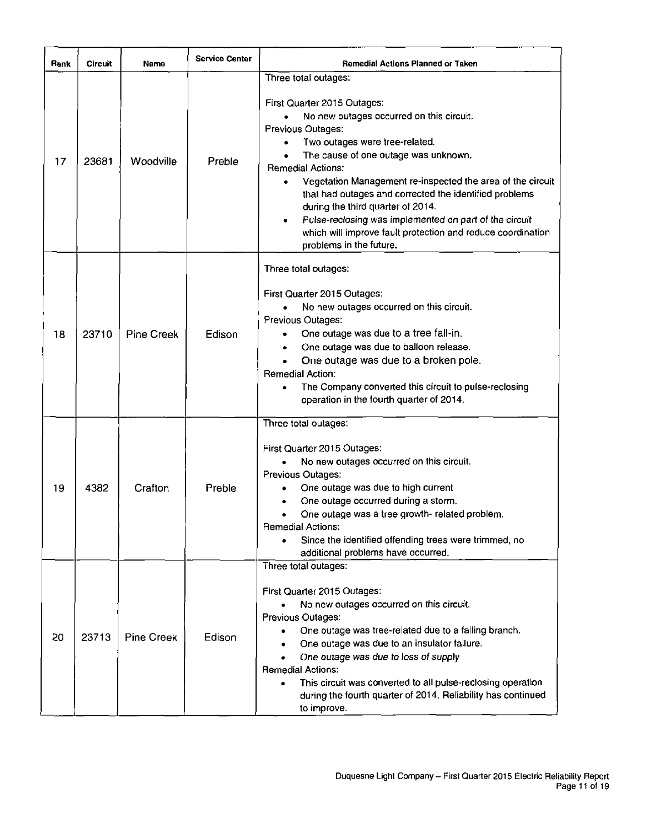| Rank | Circuit | Name              | <b>Service Center</b> | <b>Remedial Actions Planned or Taken</b>                                                                                                                                                                                                                                                                                                                                                                                                                                                                                                         |  |  |
|------|---------|-------------------|-----------------------|--------------------------------------------------------------------------------------------------------------------------------------------------------------------------------------------------------------------------------------------------------------------------------------------------------------------------------------------------------------------------------------------------------------------------------------------------------------------------------------------------------------------------------------------------|--|--|
| 17   | 23681   | Woodville         | Preble                | Three total outages:<br>First Quarter 2015 Outages:<br>No new outages occurred on this circuit.<br>Previous Outages:<br>Two outages were tree-related.<br>The cause of one outage was unknown.<br><b>Remedial Actions:</b><br>Vegetation Management re-inspected the area of the circuit<br>٠<br>that had outages and corrected the identified problems<br>during the third quarter of 2014.<br>Pulse-reclosing was implemented on part of the circuit<br>which will improve fault protection and reduce coordination<br>problems in the future. |  |  |
| 18   | 23710   | <b>Pine Creek</b> | Edison                | Three total outages:<br>First Quarter 2015 Outages:<br>No new outages occurred on this circuit.<br>Previous Outages:<br>One outage was due to a tree fall-in.<br>One outage was due to balloon release.<br>One outage was due to a broken pole.<br><b>Remedial Action:</b><br>The Company converted this circuit to pulse-reclosing<br>operation in the fourth quarter of 2014.                                                                                                                                                                  |  |  |
| 19   | 4382    | Crafton           | Preble                | Three total outages:<br>First Quarter 2015 Outages:<br>No new outages occurred on this circuit.<br>Previous Outages:<br>One outage was due to high current<br>One outage occurred during a storm.<br>One outage was a tree growth- related problem.<br><b>Remedial Actions:</b><br>Since the identified offending trees were trimmed, no<br>additional problems have occurred.                                                                                                                                                                   |  |  |
| 20   | 23713   | <b>Pine Creek</b> | Edison                | Three total outages:<br>First Quarter 2015 Outages:<br>No new outages occurred on this circuit.<br>Previous Outages:<br>One outage was tree-related due to a falling branch.<br>One outage was due to an insulator failure.<br>One outage was due to loss of supply<br><b>Remedial Actions:</b><br>This circuit was converted to all pulse-reclosing operation<br>during the fourth quarter of 2014. Reliability has continued<br>to improve.                                                                                                    |  |  |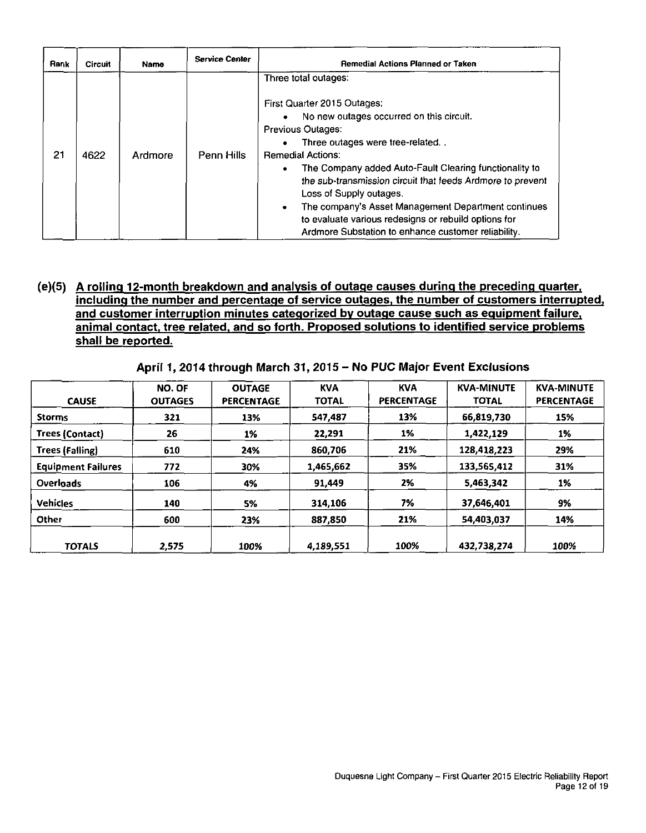| Rank | <b>Circuit</b> | Name    | <b>Service Center</b> | Remedial Actions Planned or Taken                                                                                                                                                                                                                                                                                                                                                                                                                                                                                   |
|------|----------------|---------|-----------------------|---------------------------------------------------------------------------------------------------------------------------------------------------------------------------------------------------------------------------------------------------------------------------------------------------------------------------------------------------------------------------------------------------------------------------------------------------------------------------------------------------------------------|
| 21   | 4622           | Ardmore | Penn Hills            | Three total outages:<br>First Quarter 2015 Outages:<br>No new outages occurred on this circuit.<br><b>Previous Outages:</b><br>Three outages were tree-related<br><b>Remedial Actions:</b><br>The Company added Auto-Fault Clearing functionality to<br>the sub-transmission circuit that feeds Ardmore to prevent<br>Loss of Supply outages.<br>The company's Asset Management Department continues<br>to evaluate various redesigns or rebuild options for<br>Ardmore Substation to enhance customer reliability. |

# **(e)(5) A rolling 12-month breakdown and analysis of outage causes during the preceding quarter, including the number and percentage of service outages, the number of customers interrupted, and customer interruption minutes categorized by outage cause such as equipment failure, animal contact, tree related, and so forth. Proposed solutions to identified service problems shall be reported.**

**April 1, 2014 through March 31, 2015 - No PUC Major Event Exclusions** 

| <b>CAUSE</b>              | NO. OF<br><b>OUTAGES</b> | <b>OUTAGE</b><br><b>PERCENTAGE</b> | <b>KVA</b><br><b>TOTAL</b> | <b>KVA</b><br><b>PERCENTAGE</b> | <b>KVA-MINUTE</b><br><b>TOTAL</b> | <b>KVA-MINUTE</b><br><b>PERCENTAGE</b> |
|---------------------------|--------------------------|------------------------------------|----------------------------|---------------------------------|-----------------------------------|----------------------------------------|
| <b>Storms</b>             | 321                      | 13%                                | 547.487                    | 13%                             | 66,819,730                        | 15%                                    |
| Trees (Contact)           | 26                       | 1%                                 | 22,291                     | 1%                              | 1,422,129                         | 1%                                     |
| <b>Trees (Falling)</b>    | 610                      | 24%                                | 860.706                    | 21%                             | 128,418,223                       | 29%                                    |
| <b>Equipment Failures</b> | 772                      | 30%                                | 1,465,662                  | 35%                             | 133,565,412                       | 31%                                    |
| <b>Overloads</b>          | 106                      | 4%                                 | 91,449                     | 2%                              | 5,463,342                         | 1%                                     |
| <b>Vehicles</b>           | 140                      | 5%                                 | 314,106                    | 7%                              | 37,646,401                        | 9%                                     |
| Other                     | 600                      | 23%                                | 887.850                    | 21%                             | 54,403,037                        | 14%                                    |
| <b>TOTALS</b>             | 2.575                    | 100%                               | 4,189,551                  | 100%                            | 432.738.274                       | 100%                                   |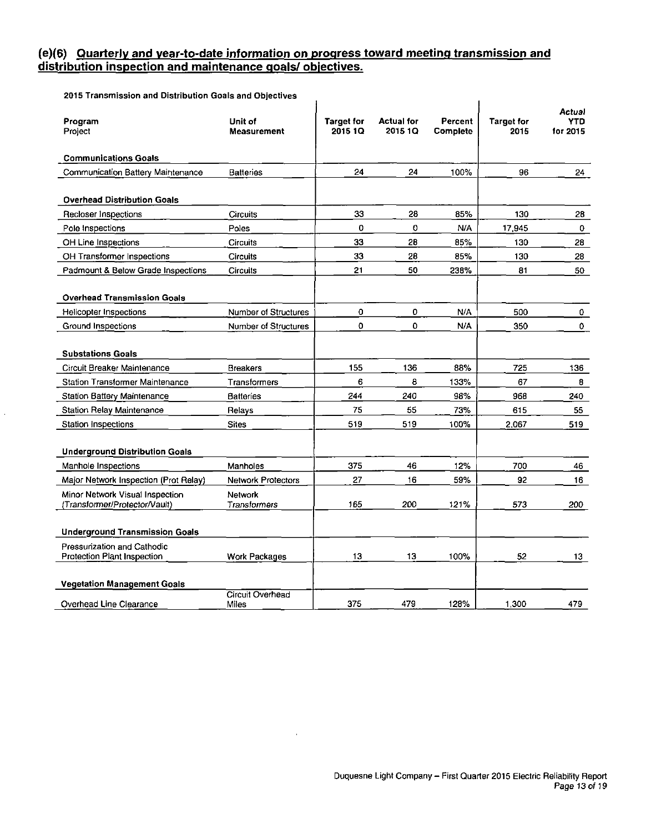# **(e)(6) Quarterly and year-to-date information on progress toward meeting transmission and distribution inspection and maintenance goals/ objectives.**

2015 Transmission and Distribution Goals and Objectives

 $\bar{z}$ 

| Program<br>Project                                               | Unit of<br><b>Measurement</b>  | <b>Target for</b><br>2015 1Q | <b>Actual for</b><br>2015 10 | Percent<br>Complete | <b>Target for</b><br>2015 | Actual<br>YTD<br>for 2015 |
|------------------------------------------------------------------|--------------------------------|------------------------------|------------------------------|---------------------|---------------------------|---------------------------|
| <b>Communications Goals</b>                                      |                                |                              |                              |                     |                           |                           |
| Communication Battery Maintenance                                | <b>Batteries</b>               | 24                           | 24                           | 100%                | 96                        | 24                        |
| <b>Overhead Distribution Goals</b>                               |                                |                              |                              |                     |                           |                           |
| Recloser Inspections                                             | Circuits                       | 33                           | 28                           | 85%                 | 130                       | 28                        |
| Pole Inspections                                                 | Poles                          | 0                            | 0                            | N/A                 | 17,945                    | 0                         |
| OH Line Inspections                                              | <b>Circuits</b>                | 33                           | 28                           | 85%                 | 130                       | 28                        |
| OH Transformer Inspections                                       | <b>Circuits</b>                | 33                           | 28                           | 85%                 | 130                       | 28                        |
| Padmount & Below Grade Inspections                               | <b>Circuits</b>                | 21                           | 50                           | 238%                | 81                        | 50                        |
| <b>Overhead Transmission Goals</b>                               |                                |                              |                              |                     |                           |                           |
| Helicopter Inspections                                           | Number of Structures           | 0                            | $\mathbf{o}$                 | N/A                 | 500                       | 0                         |
| Ground Inspections                                               | Number of Structures           | $\Omega$                     | $\mathbf 0$                  | N/A                 | 350                       | 0                         |
| <b>Substations Goals</b>                                         |                                |                              |                              |                     |                           |                           |
| Circuit Breaker Maintenance                                      | <b>Breakers</b>                | 155                          | 136                          | 88%                 | 725                       | 136                       |
| <b>Station Transformer Maintenance</b>                           | Transformers                   | 6                            | 8                            | 133%                | 67                        | 8                         |
| <b>Station Battery Maintenance</b>                               | <b>Batteries</b>               | 244                          | 240                          | 98%                 | 968                       | 240                       |
| <b>Station Relay Maintenance</b>                                 | Relays                         | 75                           | 55                           | 73%                 | 615                       | 55                        |
| Station Inspections                                              | <b>Sites</b>                   | 519                          | 519                          | 100%                | 2,067                     | 519                       |
| <b>Underground Distribution Goals</b>                            |                                |                              |                              |                     |                           |                           |
| Manhole Inspections                                              | Manholes                       | 375                          | 46                           | 12%                 | 700                       | 46                        |
| Major Network Inspection (Prot Relay)                            | <b>Network Protectors</b>      | 27                           | 16                           | 59%                 | 92                        | 16 <sup>2</sup>           |
| Minor Network Visual Inspection<br>(Transformer/Protector/Vault) | <b>Network</b><br>Transformers | 165                          | 200                          | 121%                | 573                       | 200                       |
| <b>Underground Transmission Goals</b>                            |                                |                              |                              |                     |                           |                           |
| Pressurization and Cathodic<br>Protection Plant Inspection       | <b>Work Packages</b>           | 13                           | 13                           | 100%                | 52                        | 13 <sup>13</sup>          |
| <b>Vegetation Management Goals</b>                               |                                |                              |                              |                     |                           |                           |
| Overhead Line Clearance                                          | Circuit Overhead<br>Miles      | 375                          | 479                          | 128%                | 1.300                     | 479                       |

 $\bar{z}$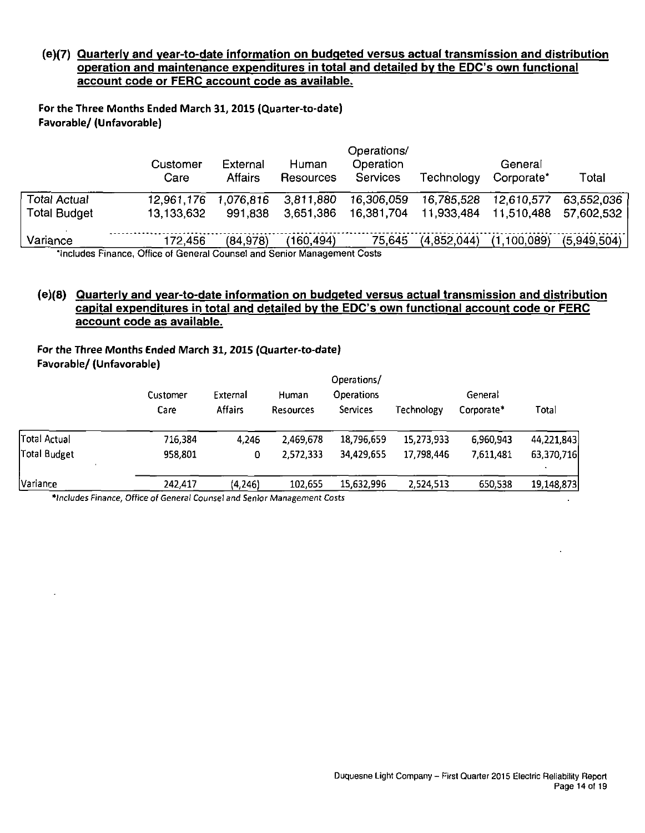## **(e)(7) Quarterly and vear-to-date information on budgeted versus actual transmission and distribution operation and maintenance expenditures in total and detailed by the EDC's own functional account code or FERC account code as available.**

For the Three Months Ended March 31, 2015 (Quarter-to-date) Favorable/ (Unfavorable)

|                     | Customer<br>Care                                                                | External<br><b>Affairs</b> | Human<br>Resources | Operations/<br>Operation<br><b>Services</b> | Technology  | General<br>Corporate* | Total       |
|---------------------|---------------------------------------------------------------------------------|----------------------------|--------------------|---------------------------------------------|-------------|-----------------------|-------------|
| Total Actual        | 12,961,176                                                                      | 1,076,816                  | 3,811,880          | 16,306,059                                  | 16,785,528  | 12,610,577            | 63.552.036  |
| <b>Total Budget</b> | 13,133,632                                                                      | 991,838                    | 3.651.386          | 16,381,704                                  | 11,933,484  | 11.510.488            | 57,602,532  |
| Variance            | 172.456                                                                         | (84,978)                   | (160, 494)         | 75,645                                      | (4.852.044) | (1,100,089)           | (5,949,504) |
|                     | <b>September Cinense, Office of Conoral Counsel and Repier Management Costs</b> |                            |                    |                                             |             |                       |             |

'Includes Finance, Office of General Counsel and Senior Management Costs

# **(e)(8) Quarterly and vear-to-date information on budgeted versus actual transmission and distribution capital expenditures in total and detailed by the EDC's own functional account code or FERC account code as available.**

# For the Three Months Ended March 31, 2015 (Quarter-to-date) Favorable/ (Unfavorable)

| Operations/      |                            |                           |                               |            |                       |            |
|------------------|----------------------------|---------------------------|-------------------------------|------------|-----------------------|------------|
| Customer<br>Care | External<br><b>Affairs</b> | Human<br><b>Resources</b> | <b>Operations</b><br>Services | Technology | General<br>Corporate* | Total      |
| 716,384          | 4,246                      | 2.469.678                 | 18,796,659                    | 15,273,933 | 6,960,943             | 44,221,843 |
| 958,801          | 0                          | 2.572,333                 | 34,429,655                    | 17,798,446 | 7,611,481             | 63,370,716 |
| 242,417          | (4, 246)                   | 102,655                   | 15,632,996                    | 2.524,513  | 650,538               | 19,148,873 |
|                  |                            |                           |                               |            |                       |            |

•Includes Finance, Office of General Counsel and Senior Management Costs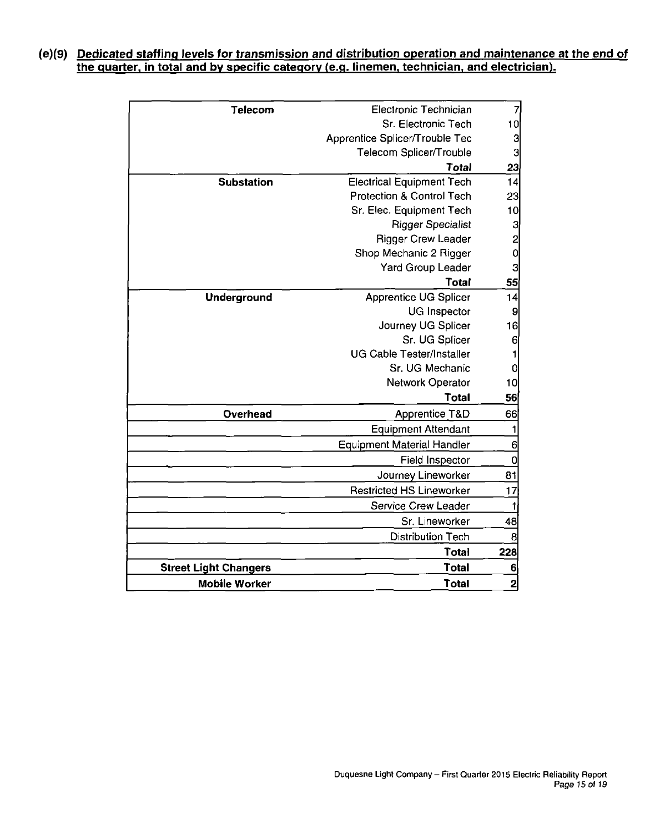# **(e)(9) Dedicated staffing levels for transmission and distribution operation and maintenance at the end of the quarter, in total and by specific category (e.g. linemen, technician, and electrician).**

| Telecom                      | Electronic Technician                | $\overline{7}$ |
|------------------------------|--------------------------------------|----------------|
|                              | Sr. Electronic Tech                  |                |
|                              | Apprentice Splicer/Trouble Tec       | 3              |
|                              | Telecom Splicer/Trouble              | 3              |
|                              | Total                                | 23<br>14       |
| <b>Substation</b>            | <b>Electrical Equipment Tech</b>     |                |
|                              | <b>Protection &amp; Control Tech</b> |                |
|                              | Sr. Elec. Equipment Tech             | 10             |
|                              | <b>Rigger Specialist</b>             | 3              |
|                              | <b>Rigger Crew Leader</b>            | $\frac{2}{0}$  |
|                              | Shop Mechanic 2 Rigger               |                |
|                              | Yard Group Leader                    | 3              |
|                              | Total                                | 55             |
| <b>Underground</b>           | <b>Apprentice UG Splicer</b>         | 14             |
|                              | <b>UG Inspector</b>                  | 9              |
|                              | Journey UG Splicer                   | 16             |
|                              | Sr. UG Splicer                       | 6              |
|                              | <b>UG Cable Tester/Installer</b>     | 1              |
|                              | Sr. UG Mechanic                      | $\overline{0}$ |
|                              | Network Operator                     | 10             |
|                              | Total                                | 56             |
| Overhead                     | <b>Apprentice T&amp;D</b>            | 66             |
|                              | Equipment Attendant                  | 1              |
|                              | <b>Equipment Material Handler</b>    | 6              |
|                              | <b>Field Inspector</b>               | 0              |
|                              | Journey Lineworker                   | 81             |
|                              | <b>Restricted HS Lineworker</b>      | 17             |
|                              | Service Crew Leader                  |                |
|                              | Sr. Lineworker                       | 48             |
|                              | <b>Distribution Tech</b>             | 8              |
|                              | Total                                | 228            |
| <b>Street Light Changers</b> | <b>Total</b>                         | 6              |
| <b>Mobile Worker</b>         | <b>Total</b>                         | 2              |
|                              |                                      |                |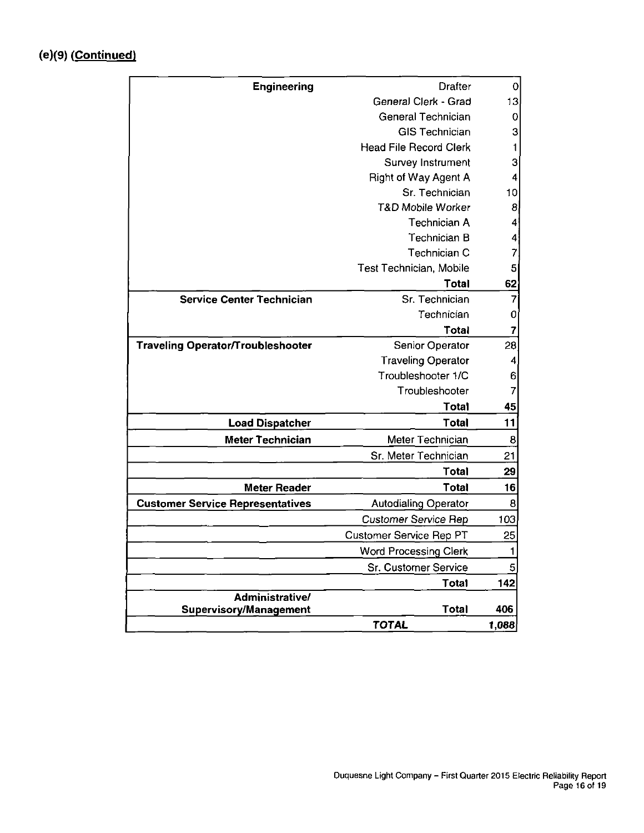| <b>Engineering</b>                      | <b>Drafter</b>                | 0               |
|-----------------------------------------|-------------------------------|-----------------|
|                                         | General Clerk - Grad          |                 |
|                                         | <b>General Technician</b>     |                 |
|                                         | <b>GIS Technician</b>         | 3               |
|                                         | <b>Head File Record Clerk</b> | 1               |
|                                         | Survey Instrument             | 3               |
|                                         | Right of Way Agent A          | 4               |
|                                         | Sr. Technician                | 10              |
|                                         | <b>T&amp;D Mobile Worker</b>  | 8               |
|                                         | Technician A                  | 4               |
|                                         | Technician B                  | 4               |
|                                         | Technician C                  | 7               |
|                                         | Test Technician, Mobile       | 5               |
|                                         | <b>Total</b>                  | 62              |
| <b>Service Center Technician</b>        | Sr. Technician                | 7               |
|                                         | Technician                    | 0               |
|                                         | Total                         | 7               |
| Traveling Operator/Troubleshooter       | Senior Operator               | 28              |
|                                         | <b>Traveling Operator</b>     |                 |
|                                         | Troubleshooter 1/C            | 6               |
|                                         | Troubleshooter                | 7               |
|                                         | <b>Total</b>                  | 45              |
| <b>Load Dispatcher</b>                  | <b>Total</b>                  | 11              |
| <b>Meter Technician</b>                 | Meter Technician              | 8               |
|                                         | Sr. Meter Technician          | 21              |
|                                         | <b>Total</b>                  | 29              |
| <b>Meter Reader</b>                     | <b>Total</b>                  | 16              |
| <b>Customer Service Representatives</b> | <b>Autodialing Operator</b>   | 8               |
|                                         | <b>Customer Service Rep</b>   | 103             |
|                                         | Customer Service Rep PT       | $\overline{25}$ |
|                                         | <b>Word Processing Clerk</b>  | 1               |
|                                         | <b>Sr. Customer Service</b>   | 5               |
|                                         | <b>Total</b>                  | 142             |
| Administrative/                         |                               |                 |
| <b>Supervisory/Management</b>           | Total                         | 406             |
|                                         | <b>TOTAL</b>                  | 1,088           |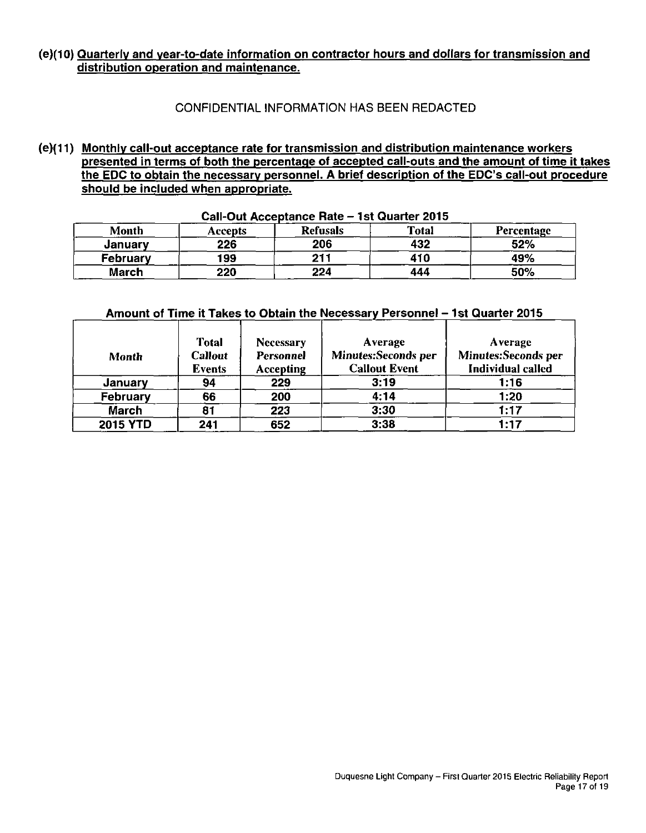# **(e)(10) Quarterly and vear-to-date information on contractor hours and dollars for transmission and distribution operation and maintenance.**

# CONFIDENTIAL INFORMATION HAS BEEN REDACTED

**(e)(11) Monthly call-out acceptance rate for transmission and distribution maintenance workers presented in terms of both the percentage of accepted call-outs and the amount of time it takes the EDC to obtain the necessary personnel. A brief description of the EDC's call-out procedure should be included when appropriate.** 

| <b>Month</b> | Accepts | <b>Refusals</b> | <b>Total</b> | Percentage |
|--------------|---------|-----------------|--------------|------------|
| January      | 226     | 206             | 432          | 52%        |
| February     | 199     | 211             | 410          | 49%        |
| March        | 220     | 224             | 444          | 50%        |

### **Call-Out Acceptance Rate - 1st Quarter 2015**

# **Amount of Time it Takes to Obtain the Necessary Personnel - 1st Quarter 2015**

| Month           | <b>Total</b><br><b>Callout</b><br><b>Events</b> | <b>Necessary</b><br><b>Personnel</b><br><b>Accepting</b> | <b>Average</b><br><b>Minutes:Seconds per</b><br><b>Callout Event</b> | <b>Average</b><br>Minutes:Seconds per<br><b>Individual called</b> |
|-----------------|-------------------------------------------------|----------------------------------------------------------|----------------------------------------------------------------------|-------------------------------------------------------------------|
| <b>January</b>  | 94                                              | 229                                                      | 3:19                                                                 | 1:16                                                              |
| <b>February</b> | 66                                              | 200                                                      | 4:14                                                                 | 1:20                                                              |
| <b>March</b>    | 81                                              | 223                                                      | 3:30                                                                 | 1:17                                                              |
| <b>2015 YTD</b> | 241                                             | 652                                                      | 3:38                                                                 | 1:17                                                              |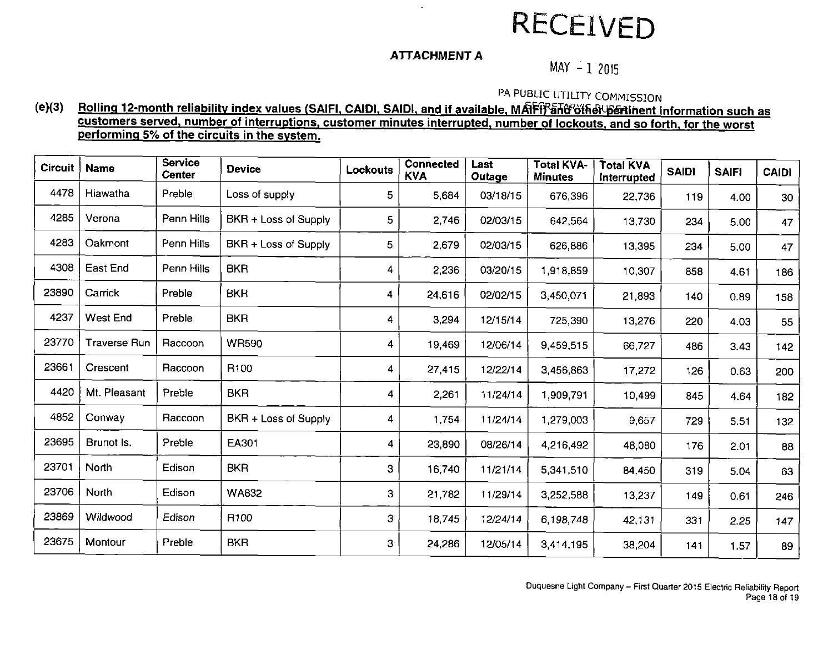# **RECEIVED**

# **ATTACHMENT A**

 $\sim$ 

 $MAY - 12015$ 

PA PUBLIC UTILITY COMMISSION

# (e)(3) Rolling 12-month reliability index values (SAIFI, CAIDI, SAIDI, and if available, MAFf<sup>y</sup>Sht<sup>o</sup>other bent information such as **customers served, number of interruptions, customer minutes interrupted, number of lockouts, and so forth, for the worst performing 5% of the circuits in the system.**

| <b>Circuit</b> | <b>Name</b>         | <b>Service</b><br><b>Center</b> | <b>Device</b>        | Lockouts | <b>Connected</b><br><b>KVA</b> | Last<br>Outage | <b>Total KVA-</b><br><b>Minutes</b> | <b>Total KVA</b><br><b>Interrupted</b> | <b>SAIDI</b> | <b>SAIFI</b> | <b>CAIDI</b> |
|----------------|---------------------|---------------------------------|----------------------|----------|--------------------------------|----------------|-------------------------------------|----------------------------------------|--------------|--------------|--------------|
| 4478           | Hiawatha            | Preble                          | Loss of supply       | 5        | 5.684                          | 03/18/15       | 676,396                             | 22,736                                 | 119          | 4.00         | 30           |
| 4285           | Verona              | Penn Hills                      | BKR + Loss of Supply | 5        | 2,746                          | 02/03/15       | 642,564                             | 13,730                                 | 234          | 5.00         | 47           |
| 4283           | Oakmont             | Penn Hills                      | BKR + Loss of Supply | 5        | 2,679                          | 02/03/15       | 626,886                             | 13,395                                 | 234          | 5.00         | 47           |
| 4308           | East End            | Penn Hills                      | <b>BKR</b>           | 4        | 2,236                          | 03/20/15       | 1,918,859                           | 10,307                                 | 858          | 4.61         | 186          |
| 23890          | Carrick             | Preble                          | <b>BKR</b>           | 4        | 24,616                         | 02/02/15       | 3,450,071                           | 21,893                                 | 140          | 0.89         | 158          |
| 4237           | West End            | Preble                          | <b>BKR</b>           | 4        | 3,294                          | 12/15/14       | 725,390                             | 13,276                                 | 220          | 4.03         | 55           |
| 23770          | <b>Traverse Run</b> | Raccoon                         | <b>WR590</b>         | 4        | 19,469                         | 12/06/14       | 9,459,515                           | 66,727                                 | 486          | 3.43         | 142          |
| 23661          | Crescent            | Raccoon                         | R100                 | 4        | 27,415                         | 12/22/14       | 3,456,863                           | 17,272                                 | 126          | 0.63         | 200          |
| 4420           | Mt. Pleasant        | Preble                          | <b>BKR</b>           | 4        | 2,261                          | 11/24/14       | 1,909,791                           | 10,499                                 | 845          | 4.64         | 182          |
| 4852           | Conway              | Raccoon                         | BKR + Loss of Supply | 4        | 1.754                          | 11/24/14       | 1,279,003                           | 9,657                                  | 729          | 5.51         | 132          |
| 23695          | Brunot Is.          | Preble                          | EA301                | 4        | 23,890                         | 08/26/14       | 4,216,492                           | 48,080                                 | 176          | 2.01         | 88           |
| 23701          | North               | Edison                          | <b>BKR</b>           | 3        | 16740                          | 11/21/14       | 5,341,510                           | 84,450                                 | 319          | 5.04         | 63           |
| 23706          | North               | Edison                          | <b>WA832</b>         | 3        | 21,782                         | 11/29/14       | 3,252,588                           | 13,237                                 | 149          | 0.61         | 246          |
| 23869          | Wildwood            | Edison                          | R <sub>100</sub>     | 3        | 18,745                         | 12/24/14       | 6,198,748                           | 42,131                                 | 331          | 2.25         | 147          |
| 23675          | Montour             | Preble                          | <b>BKR</b>           | 3        | 24,286                         | 12/05/14       | 3,414,195                           | 38,204                                 | 141          | 1.57         | 89           |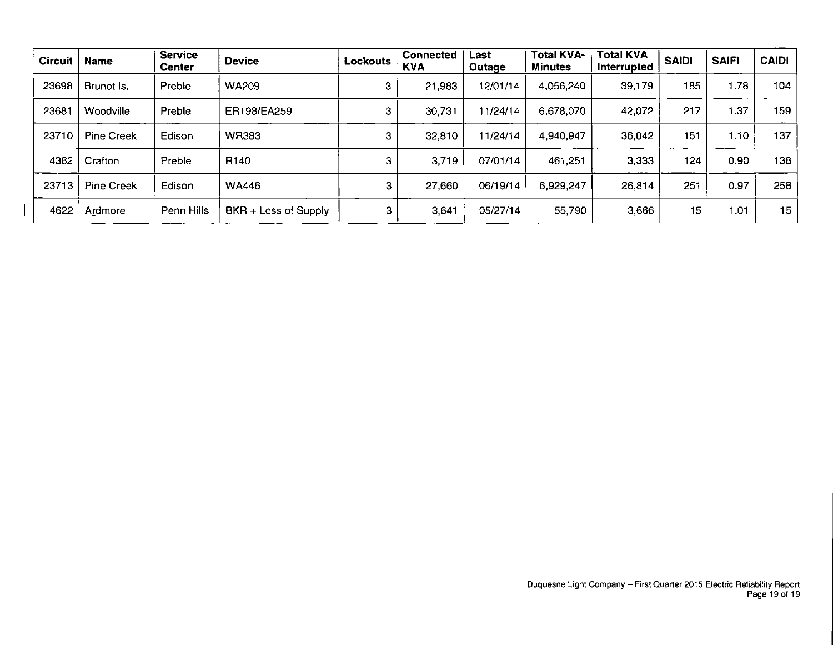| <b>Circuit</b> | <b>Name</b>       | <b>Service</b><br><b>Center</b> | <b>Device</b>        | Lockouts | Connected<br><b>KVA</b> | Last<br>Outage | <b>Total KVA-</b><br><b>Minutes</b> | Total KVA<br>Interrupted | <b>SAIDI</b> | <b>SAIFI</b> | <b>CAIDI</b> |
|----------------|-------------------|---------------------------------|----------------------|----------|-------------------------|----------------|-------------------------------------|--------------------------|--------------|--------------|--------------|
| 23698          | Brunot Is.        | Preble                          | <b>WA209</b>         | 3        | 21,983                  | 12/01/14       | 4,056,240                           | 39,179                   | 185          | 1.78         | 104          |
| 23681          | Woodville         | Preble                          | ER198/EA259          | 3        | 30,731                  | 11/24/14       | 6,678,070                           | 42,072                   | 217          | 1.37         | 159          |
| 23710          | <b>Pine Creek</b> | Edison                          | <b>WR383</b>         | 3        | 32,810                  | 11/24/14       | 4,940,947                           | 36,042                   | 151          | 1.10         | 137          |
| 4382           | Crafton           | Preble                          | R <sub>140</sub>     | з        | 3,719                   | 07/01/14       | 461,251                             | 3,333                    | 124          | 0.90         | 138          |
| 23713          | <b>Pine Creek</b> | Edison                          | <b>WA446</b>         | з        | 27,660                  | 06/19/14       | 6,929,247                           | 26,814                   | 251          | 0.97         | 258          |
| 4622           | Ardmore           | Penn Hills                      | BKR + Loss of Supply | 3        | 3.641                   | 05/27/14       | 55,790                              | 3,666                    | 15           | 1.01         | 15           |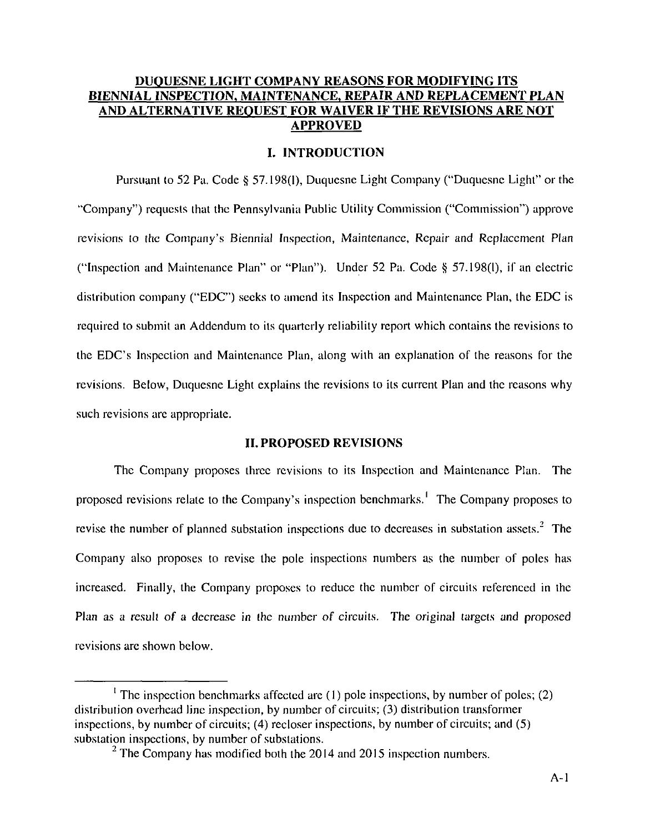# **DUQUESNE LIGHT COMPANY REASONS FOR MODIFYING ITS BIENNIAL INSPECTION, MAINTENANCE, REPAIR AND REPLACEMENT PLAN AND ALTERNATIVE REQUEST FOR WAIVER IF THE REVISIONS ARE NOT APPROVED**

### **I. INTRODUCTION**

Pursuant lo 52 Pa. Code § 57.198(1), Duquesne Light Company ("Duquesne Light" or the "Company") requests that the Pennsylvania Public Utility Commission ("Commission") approve revisions to the Company's Biennial Inspection, Maintenance, Repair and Replacement Plan ("Inspection and Maintenance Plan" or "Plan"). Under 52 Pa. Code § 57.198(1), if an electric distribution company ("EDC") seeks to amend its Inspection and Maintenance Plan, the EDC is required to submit an Addendum to its quarterly reliability report which contains the revisions to the EDC's Inspection and Maintenance Plan, along with an explanation of the reasons for the revisions. Below, Duquesne Light explains the revisions to its current Plan and the reasons why such revisions are appropriate.

### **H. PROPOSED REVISIONS**

The Company proposes three revisions to its Inspection and Maintenance Plan. The proposed revisions relate to the Company's inspection benchmarks.<sup>1</sup> The Company proposes to revise the number of planned substation inspections due to decreases in substation assets.<sup>2</sup> The Company also proposes to revise the pole inspections numbers as the number of poles has increased. Finally, the Company proposes to reduce the number of circuits referenced in the Plan as a result of a decrease in the number of circuits. The original targets and proposed revisions are shown below.

<sup>&</sup>lt;sup>1</sup> The inspection benchmarks affected are (1) pole inspections, by number of poles; (2) distribution overhead line inspection, by number of circuits; (3) distribution transformer inspections, by number of circuits; (4) recloser inspections, by number of circuits; and (5) substation inspections, by number of substations.

 $2$  The Company has modified both the 2014 and 2015 inspection numbers.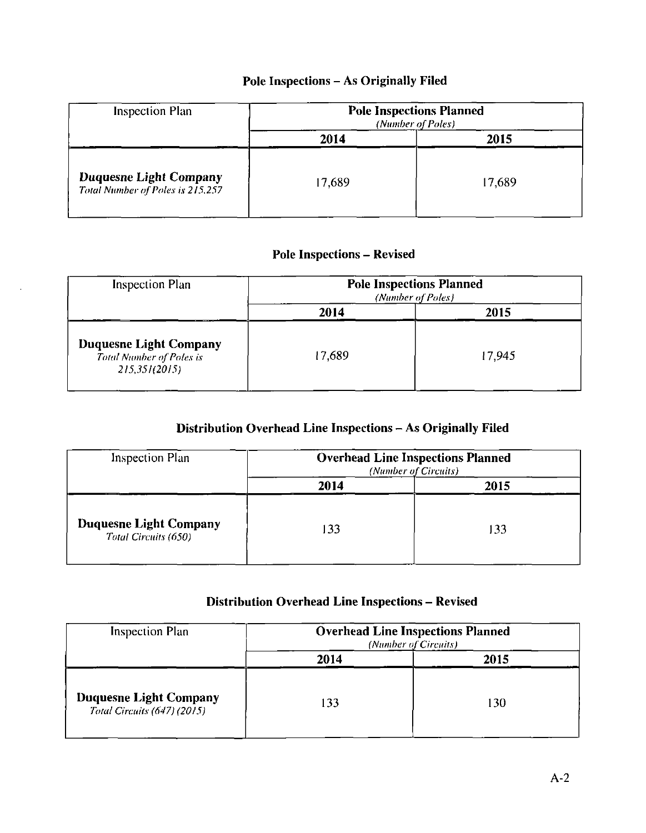# **Pole Inspections - As Originally Filed**

| <b>Inspection Plan</b>                                            | <b>Pole Inspections Planned</b><br>(Number of Poles) |        |  |  |
|-------------------------------------------------------------------|------------------------------------------------------|--------|--|--|
|                                                                   | 2014                                                 | 2015   |  |  |
| <b>Duquesne Light Company</b><br>Total Number of Poles is 215,257 | 17,689                                               | 17,689 |  |  |

# **Pole Inspections - Revised**

| <b>Inspection Plan</b>                                                            | <b>Pole Inspections Planned</b><br>(Number of Poles) |        |  |  |
|-----------------------------------------------------------------------------------|------------------------------------------------------|--------|--|--|
|                                                                                   | 2014                                                 | 2015   |  |  |
| <b>Duquesne Light Company</b><br><b>Total Number of Poles is</b><br>215.351(2015) | 17.689                                               | 17,945 |  |  |

# **Distribution Overhead Line Inspections - As Originally Filed**

| Inspection Plan                                       | <b>Overhead Line Inspections Planned</b><br>(Number of Circuits) |      |  |  |  |
|-------------------------------------------------------|------------------------------------------------------------------|------|--|--|--|
|                                                       | 2014                                                             | 2015 |  |  |  |
| <b>Duquesne Light Company</b><br>Total Circuits (650) | 133                                                              | 133  |  |  |  |

# **Distribution Overhead Line Inspections - Revised**

| <b>Inspection Plan</b>                                              | <b>Overhead Line Inspections Planned</b><br>(Number of Circuits) |      |  |  |  |
|---------------------------------------------------------------------|------------------------------------------------------------------|------|--|--|--|
|                                                                     | 2014                                                             | 2015 |  |  |  |
| <b>Duquesne Light Company</b><br><b>Total Circuits (647) (2015)</b> | 133                                                              | 130  |  |  |  |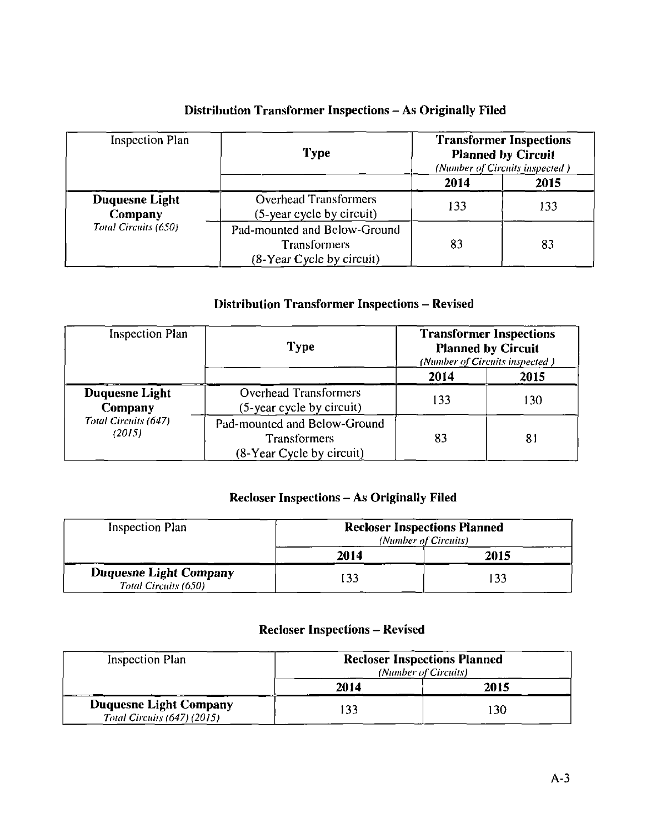| <b>Inspection Plan</b>                                   | <b>Type</b>                                                                          | <b>Transformer Inspections</b><br><b>Planned by Circuit</b><br>(Number of Circuits inspected) |      |
|----------------------------------------------------------|--------------------------------------------------------------------------------------|-----------------------------------------------------------------------------------------------|------|
|                                                          |                                                                                      | 2014                                                                                          | 2015 |
| Duquesne Light<br><b>Company</b><br>Total Circuits (650) | <b>Overhead Transformers</b><br>(5-year cycle by circuit)                            | 133                                                                                           | 133  |
|                                                          | Pad-mounted and Below-Ground<br><b>Transformers</b><br>$(8 - Year$ Cycle by circuit) | 83                                                                                            | 83   |

# **Distribution Transformer Inspections - As Originally Filed**

# **Distribution Transformer Inspections - Revised**

| <b>Inspection Plan</b>           | <b>Type</b>                                                                      |      | <b>Transformer Inspections</b><br><b>Planned by Circuit</b><br>(Number of Circuits inspected) |  |
|----------------------------------|----------------------------------------------------------------------------------|------|-----------------------------------------------------------------------------------------------|--|
|                                  |                                                                                  | 2014 | 2015                                                                                          |  |
| <b>Duquesne Light</b><br>Company | <b>Overhead Transformers</b><br>(5-year cycle by circuit)                        | 133  | 130                                                                                           |  |
| Total Circuits (647)<br>(2015)   | Pad-mounted and Below-Ground<br><b>Transformers</b><br>(8-Year Cycle by circuit) | 83   | 81                                                                                            |  |

# **Recloser Inspections - As Originally Filed**

| <b>Inspection Plan</b>                                | <b>Recloser Inspections Planned</b><br>(Number of Circuits) |      |
|-------------------------------------------------------|-------------------------------------------------------------|------|
|                                                       | 2014                                                        | 2015 |
| <b>Duquesne Light Company</b><br>Total Circuits (650) | $\overline{33}$                                             | 133  |

# **Recloser Inspections - Revised**

| Inspection Plan                                              | <b>Recloser Inspections Planned</b><br>(Number of Circuits) |      |
|--------------------------------------------------------------|-------------------------------------------------------------|------|
|                                                              | 2014                                                        | 2015 |
| <b>Duquesne Light Company</b><br>Total Circuits (647) (2015) | 133                                                         | 30   |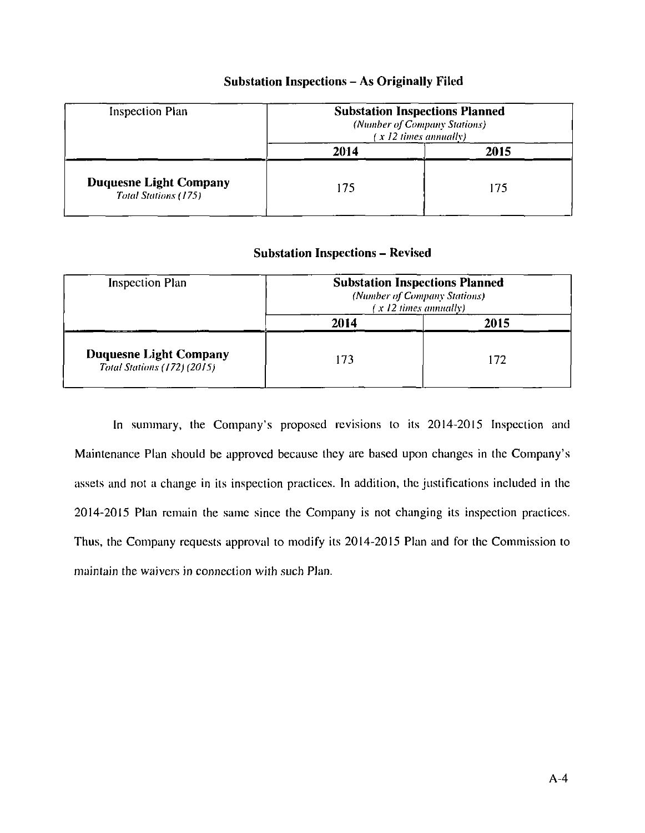| Inspection Plan                                              | <b>Substation Inspections Planned</b><br>(Number of Company Stations)<br>(x 12 times annually) |      |
|--------------------------------------------------------------|------------------------------------------------------------------------------------------------|------|
|                                                              | 2014                                                                                           | 2015 |
| <b>Duquesne Light Company</b><br><b>Total Stations (175)</b> | 175                                                                                            | 175  |

# **Substation Inspections - As Originally Filed**

# **Substation Inspections - Revised**

| Inspection Plan                                                     | <b>Substation Inspections Planned</b><br>(Number of Company Stations)<br>(x 12 times annually) |      |
|---------------------------------------------------------------------|------------------------------------------------------------------------------------------------|------|
|                                                                     | 2014                                                                                           | 2015 |
| <b>Duquesne Light Company</b><br><b>Total Stations (172) (2015)</b> | 73                                                                                             | 172  |

In summary, the Company's proposed revisions to its 2014-2015 Inspection and Maintenance Plan should be approved because they are based upon changes in the Company's assets and not a change in its inspection practices. In addition, the justifications included in the 2014-2015 Plan remain the same since the Company is not changing its inspection practices. Thus, the Company requests approval to modify its 2014-2015 Plan and for the Commission to maintain the waivers in connection with such Plan.